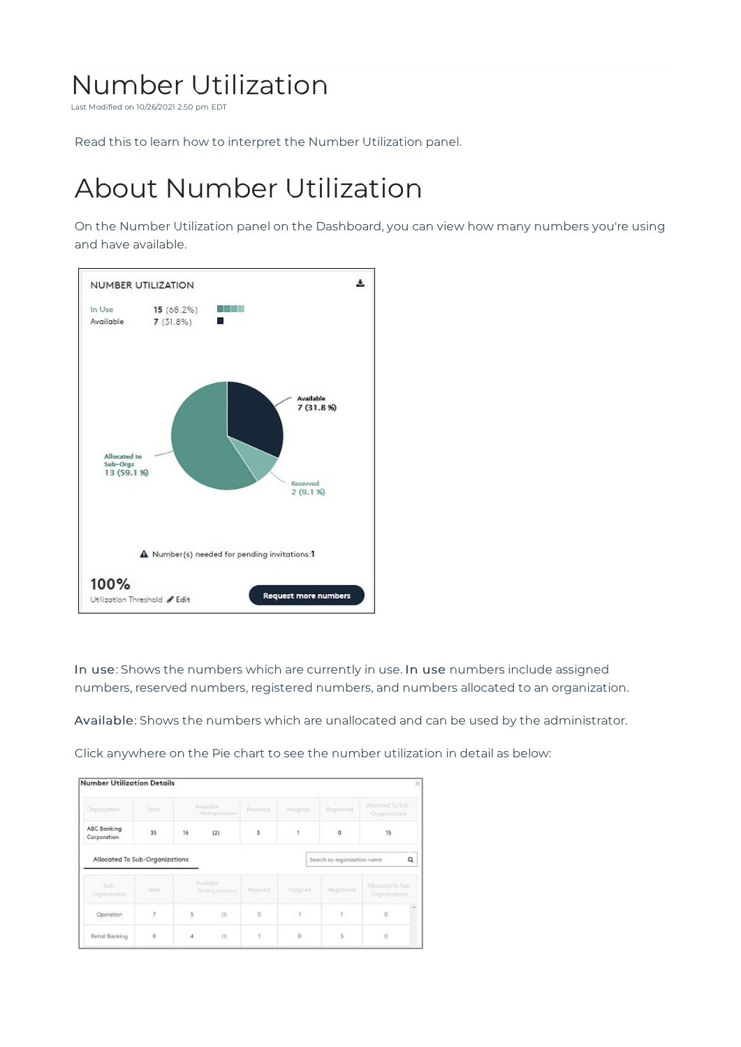## Number Utilization

Last Modified on 10/26/2021 2:50 pm EDT

Read this to learn how to interpret the Number Utilization panel.

## About Number Utilization

On the Number Utilization panel on the Dashboard, you can view how many numbers you're using and have available.



In use: Shows the numbers which are currently in use. In use numbers include assigned numbers, reserved numbers, registered numbers, and numbers allocated to an organization.

Available: Shows the numbers which are unallocated and can be used by the administrator.

Click anywhere on the Pie chart to see the number utilization in detail as below:

| Organization                   | Total |    | Available.<br>Pending invitation | Reserved | Assigned | Registered                  | Allocated To Sub-<br>Organizations |
|--------------------------------|-------|----|----------------------------------|----------|----------|-----------------------------|------------------------------------|
| ABC Banking<br>Corporation     | 35    | 16 | (2)                              | 3        |          | $^{\circ}$                  | 15                                 |
| Allocated To Sub-Organizations |       |    |                                  |          |          | Search by organization name | Q                                  |
|                                |       |    |                                  |          |          |                             |                                    |
| Sub-<br>Organization           | Total |    | Available<br>Pending Invitation  | Reserved | Assigned | Registered                  | Allocated To Sub-<br>Organizations |
| Operation                      | ž     | 5  | (1)                              | Ö        | 1        |                             | Ò                                  |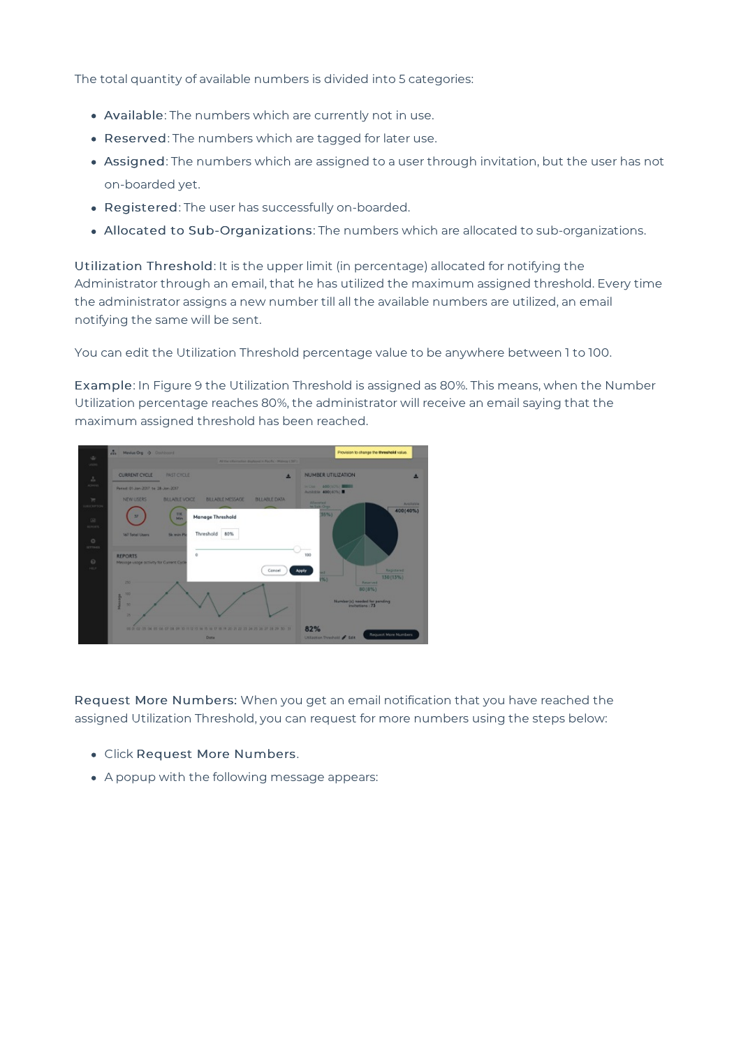The total quantity of available numbers is divided into 5 categories:

- Available: The numbers which are currently not in use.
- Reserved: The numbers which are tagged for later use.
- Assigned: The numbers which are assigned to a user through invitation, but the user has not on-boarded yet.
- Registered: The user has successfully on-boarded.
- Allocated to Sub-Organizations: The numbers which are allocated to sub-organizations.

Utilization Threshold: It is the upper limit (in percentage) allocated for notifying the Administrator through an email, that he has utilized the maximum assigned threshold. Every time the administrator assigns a new number till all the available numbers are utilized, an email notifying the same will be sent.

You can edit the Utilization Threshold percentage value to be anywhere between 1 to 100.

Example: In Figure 9 the Utilization Threshold is assigned as 80%. This means, when the Number Utilization percentage reaches 80%, the administrator will receive an email saying that the maximum assigned threshold has been reached.



Request More Numbers: When you get an email notification that you have reached the assigned Utilization Threshold, you can request for more numbers using the steps below:

- Click Request More Numbers.
- A popup with the following message appears: